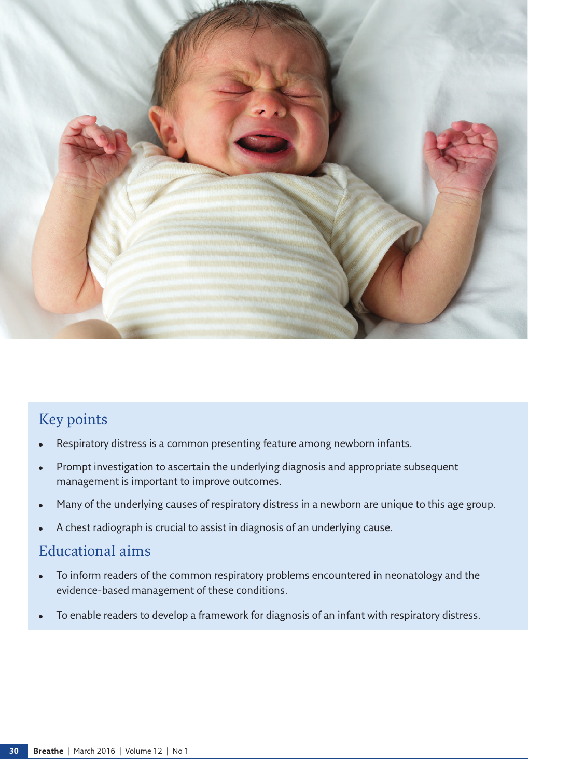

# Key points

- Respiratory distress is a common presenting feature among newborn infants.
- Prompt investigation to ascertain the underlying diagnosis and appropriate subsequent management is important to improve outcomes.
- Many of the underlying causes of respiratory distress in a newborn are unique to this age group.
- A chest radiograph is crucial to assist in diagnosis of an underlying cause.

# Educational aims

- To inform readers of the common respiratory problems encountered in neonatology and the evidence-based management of these conditions.
- To enable readers to develop a framework for diagnosis of an infant with respiratory distress.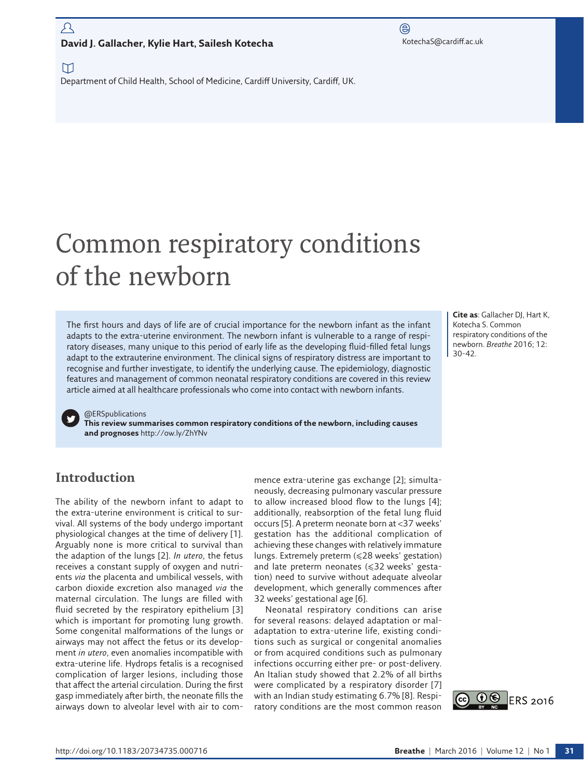# $\mathcal{L}$

## **David J. Gallacher, Kylie Hart, Sailesh Kotecha** Kotechas KotechaS@cardiff.ac.uk

# $\Box$

Department of Child Health, School of Medicine, Cardiff University, Cardiff, UK.

# Common respiratory conditions of the newborn

The first hours and days of life are of crucial importance for the newborn infant as the infant adapts to the extra-uterine environment. The newborn infant is vulnerable to a range of respiratory diseases, many unique to this period of early life as the developing fluid-filled fetal lungs adapt to the extrauterine environment. The clinical signs of respiratory distress are important to recognise and further investigate, to identify the underlying cause. The epidemiology, diagnostic features and management of common neonatal respiratory conditions are covered in this review article aimed at all healthcare professionals who come into contact with newborn infants.

**Cite as**: Gallacher DJ, Hart K, Kotecha S. Common respiratory conditions of the newborn. *Breathe* 2016; 12: 30-42.

#### @ERSpublications

**This review summarises common respiratory conditions of the newborn, including causes and prognoses** <http://ow.ly/ZhYNv>

# **Introduction**

The ability of the newborn infant to adapt to the extra-uterine environment is critical to survival. All systems of the body undergo important physiological changes at the time of delivery [[1](#page-11-0)]. Arguably none is more critical to survival than the adaption of the lungs [[2](#page-11-1)]. *In utero*, the fetus receives a constant supply of oxygen and nutrients *via* the placenta and umbilical vessels, with carbon dioxide excretion also managed *via* the maternal circulation. The lungs are filled with fluid secreted by the respiratory epithelium [[3\]](#page-11-2) which is important for promoting lung growth. Some congenital malformations of the lungs or airways may not affect the fetus or its development *in utero*, even anomalies incompatible with extra-uterine life. Hydrops fetalis is a recognised complication of larger lesions, including those that affect the arterial circulation. During the first gasp immediately after birth, the neonate fills the airways down to alveolar level with air to commence extra-uterine gas exchange [[2](#page-11-1)]; simultaneously, decreasing pulmonary vascular pressure to allow increased blood flow to the lungs [\[4\]](#page-11-3); additionally, reabsorption of the fetal lung fluid occurs [[5\]](#page-11-4). A preterm neonate born at <37 weeks' gestation has the additional complication of achieving these changes with relatively immature lungs. Extremely preterm (⩽28 weeks' gestation) and late preterm neonates ( ≤ 32 weeks' gestation) need to survive without adequate alveolar development, which generally commences after 32 weeks' gestational age [[6](#page-11-5)].

Neonatal respiratory conditions can arise for several reasons: delayed adaptation or maladaptation to extra-uterine life, existing conditions such as surgical or congenital anomalies or from acquired conditions such as pulmonary infections occurring either pre- or post-delivery. An Italian study showed that 2.2% of all births were complicated by a respiratory disorder [[7](#page-11-6)] with an Indian study estimating 6.7% [[8](#page-11-7)]. Respiratory conditions are the most common reason

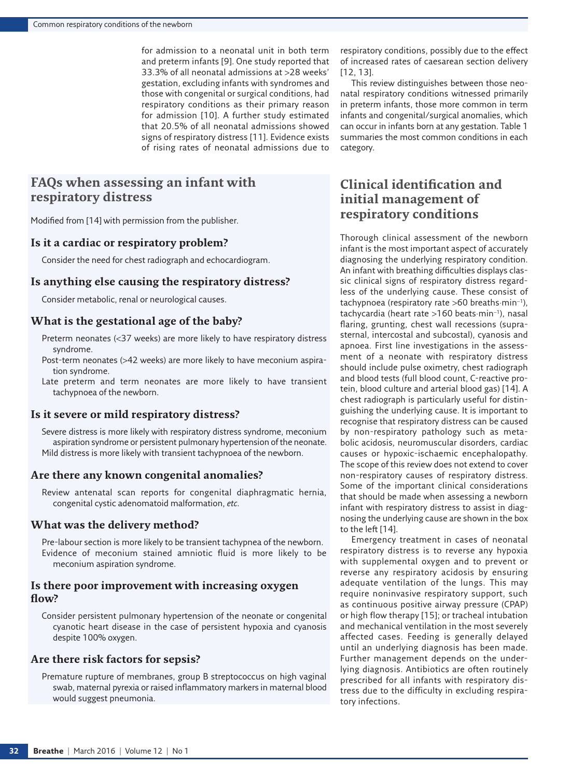for admission to a neonatal unit in both term and preterm infants [\[9\]](#page-11-8). One study reported that 33.3% of all neonatal admissions at >28 weeks' gestation, excluding infants with syndromes and those with congenital or surgical conditions, had respiratory conditions as their primary reason for admission [[10\]](#page-11-9). A further study estimated that 20.5% of all neonatal admissions showed signs of respiratory distress [[11\]](#page-11-10). Evidence exists of rising rates of neonatal admissions due to

# **FAQs when assessing an infant with respiratory distress**

Modified from [[14](#page-11-13)] with permission from the publisher.

### **Is it a cardiac or respiratory problem?**

Consider the need for chest radiograph and echocardiogram.

#### **Is anything else causing the respiratory distress?**

Consider metabolic, renal or neurological causes.

## **What is the gestational age of the baby?**

- Preterm neonates (<37 weeks) are more likely to have respiratory distress syndrome.
- Post-term neonates (>42 weeks) are more likely to have meconium aspiration syndrome.
- Late preterm and term neonates are more likely to have transient tachypnoea of the newborn.

# **Is it severe or mild respiratory distress?**

Severe distress is more likely with respiratory distress syndrome, meconium aspiration syndrome or persistent pulmonary hypertension of the neonate. Mild distress is more likely with transient tachypnoea of the newborn.

# **Are there any known congenital anomalies?**

Review antenatal scan reports for congenital diaphragmatic hernia, congenital cystic adenomatoid malformation, *etc*.

## **What was the delivery method?**

Pre-labour section is more likely to be transient tachypnea of the newborn. Evidence of meconium stained amniotic fluid is more likely to be meconium aspiration syndrome.

# **Is there poor improvement with increasing oxygen flow?**

Consider persistent pulmonary hypertension of the neonate or congenital cyanotic heart disease in the case of persistent hypoxia and cyanosis despite 100% oxygen.

#### **Are there risk factors for sepsis?**

Premature rupture of membranes, group B streptococcus on high vaginal swab, maternal pyrexia or raised inflammatory markers in maternal blood would suggest pneumonia.

respiratory conditions, possibly due to the effect of increased rates of caesarean section delivery [[12,](#page-11-11) [13](#page-11-12)].

This review distinguishes between those neonatal respiratory conditions witnessed primarily in preterm infants, those more common in term infants and congenital/surgical anomalies, which can occur in infants born at any gestation. [Table 1](#page-3-0)  summaries the most common conditions in each category.

# **Clinical identification and initial management of respiratory conditions**

Thorough clinical assessment of the newborn infant is the most important aspect of accurately diagnosing the underlying respiratory condition. An infant with breathing difficulties displays classic clinical signs of respiratory distress regardless of the underlying cause. These consist of tachypnoea (respiratory rate >60 breaths⋅min−1), tachycardia (heart rate >160 beats⋅min−1), nasal flaring, grunting, chest wall recessions (suprasternal, intercostal and subcostal), cyanosis and apnoea. First line investigations in the assessment of a neonate with respiratory distress should include pulse oximetry, chest radiograph and blood tests (full blood count, C-reactive protein, blood culture and arterial blood gas) [[14\]](#page-11-13). A chest radiograph is particularly useful for distinguishing the underlying cause. It is important to recognise that respiratory distress can be caused by non-respiratory pathology such as metabolic acidosis, neuromuscular disorders, cardiac causes or hypoxic-ischaemic encephalopathy. The scope of this review does not extend to cover non-respiratory causes of respiratory distress. Some of the important clinical considerations that should be made when assessing a newborn infant with respiratory distress to assist in diagnosing the underlying cause are shown in the box to the left [\[14](#page-11-13)].

Emergency treatment in cases of neonatal respiratory distress is to reverse any hypoxia with supplemental oxygen and to prevent or reverse any respiratory acidosis by ensuring adequate ventilation of the lungs. This may require noninvasive respiratory support, such as continuous positive airway pressure (CPAP) or high flow therapy [[15\]](#page-11-14); or tracheal intubation and mechanical ventilation in the most severely affected cases. Feeding is generally delayed until an underlying diagnosis has been made. Further management depends on the underlying diagnosis. Antibiotics are often routinely prescribed for all infants with respiratory distress due to the difficulty in excluding respiratory infections.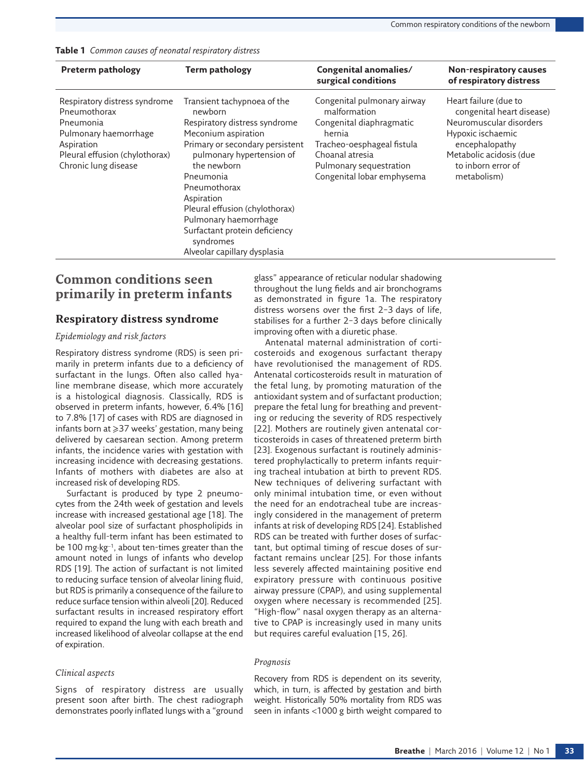| <b>Preterm pathology</b>                                                                                                                                    | Term pathology                                                                                                                                                                                                                                                                                                                                                    | Congenital anomalies/<br>surgical conditions                                                                                                                                                | Non-respiratory causes<br>of respiratory distress                                                                                                                                    |
|-------------------------------------------------------------------------------------------------------------------------------------------------------------|-------------------------------------------------------------------------------------------------------------------------------------------------------------------------------------------------------------------------------------------------------------------------------------------------------------------------------------------------------------------|---------------------------------------------------------------------------------------------------------------------------------------------------------------------------------------------|--------------------------------------------------------------------------------------------------------------------------------------------------------------------------------------|
| Respiratory distress syndrome<br>Pneumothorax<br>Pneumonia<br>Pulmonary haemorrhage<br>Aspiration<br>Pleural effusion (chylothorax)<br>Chronic lung disease | Transient tachypnoea of the<br>newborn<br>Respiratory distress syndrome<br>Meconium aspiration<br>Primary or secondary persistent<br>pulmonary hypertension of<br>the newborn<br>Pneumonia<br>Pneumothorax<br>Aspiration<br>Pleural effusion (chylothorax)<br>Pulmonary haemorrhage<br>Surfactant protein deficiency<br>syndromes<br>Alveolar capillary dysplasia | Congenital pulmonary airway<br>malformation<br>Congenital diaphragmatic<br>hernia<br>Tracheo-oesphageal fistula<br>Choanal atresia<br>Pulmonary sequestration<br>Congenital lobar emphysema | Heart failure (due to<br>congenital heart disease)<br>Neuromuscular disorders<br>Hypoxic ischaemic<br>encephalopathy<br>Metabolic acidosis (due<br>to inborn error of<br>metabolism) |

#### <span id="page-3-0"></span>**Table 1** *Common causes of neonatal respiratory distress*

# **Common conditions seen primarily in preterm infants**

# **Respiratory distress syndrome**

## *Epidemiology and risk factors*

Respiratory distress syndrome (RDS) is seen primarily in preterm infants due to a deficiency of surfactant in the lungs. Often also called hyaline membrane disease, which more accurately is a histological diagnosis. Classically, RDS is observed in preterm infants, however, 6.4% [[16\]](#page-11-15) to 7.8% [[17](#page-11-16)] of cases with RDS are diagnosed in infants born at  $\geqslant$  37 weeks' gestation, many being delivered by caesarean section. Among preterm infants, the incidence varies with gestation with increasing incidence with decreasing gestations. Infants of mothers with diabetes are also at increased risk of developing RDS.

Surfactant is produced by type 2 pneumocytes from the 24th week of gestation and levels increase with increased gestational age [\[18](#page-11-17)]. The alveolar pool size of surfactant phospholipids in a healthy full-term infant has been estimated to be 100 mg⋅kg−1, about ten-times greater than the amount noted in lungs of infants who develop RDS [[19](#page-11-18)]. The action of surfactant is not limited to reducing surface tension of alveolar lining fluid, but RDS is primarily a consequence of the failure to reduce surface tension within alveoli [\[20](#page-11-19)]. Reduced surfactant results in increased respiratory effort required to expand the lung with each breath and increased likelihood of alveolar collapse at the end of expiration.

#### *Clinical aspects*

Signs of respiratory distress are usually present soon after birth. The chest radiograph demonstrates poorly inflated lungs with a "ground glass" appearance of reticular nodular shadowing throughout the lung fields and air bronchograms as demonstrated in [figure 1a](#page-4-0). The respiratory distress worsens over the first 2–3 days of life, stabilises for a further 2–3 days before clinically improving often with a diuretic phase.

Antenatal maternal administration of corticosteroids and exogenous surfactant therapy have revolutionised the management of RDS. Antenatal corticosteroids result in maturation of the fetal lung, by promoting maturation of the antioxidant system and of surfactant production; prepare the fetal lung for breathing and preventing or reducing the severity of RDS respectively [[22\]](#page-11-20). Mothers are routinely given antenatal corticosteroids in cases of threatened preterm birth [[23\]](#page-11-21). Exogenous surfactant is routinely administered prophylactically to preterm infants requiring tracheal intubation at birth to prevent RDS. New techniques of delivering surfactant with only minimal intubation time, or even without the need for an endotracheal tube are increasingly considered in the management of preterm infants at risk of developing RDS [\[24](#page-11-22)]. Established RDS can be treated with further doses of surfactant, but optimal timing of rescue doses of surfactant remains unclear [\[25](#page-11-23)]. For those infants less severely affected maintaining positive end expiratory pressure with continuous positive airway pressure (CPAP), and using supplemental oxygen where necessary is recommended [[25\]](#page-11-23). "High-flow" nasal oxygen therapy as an alternative to CPAP is increasingly used in many units but requires careful evaluation [\[15](#page-11-14), [26\]](#page-11-24).

#### *Prognosis*

Recovery from RDS is dependent on its severity, which, in turn, is affected by gestation and birth weight. Historically 50% mortality from RDS was seen in infants <1000 g birth weight compared to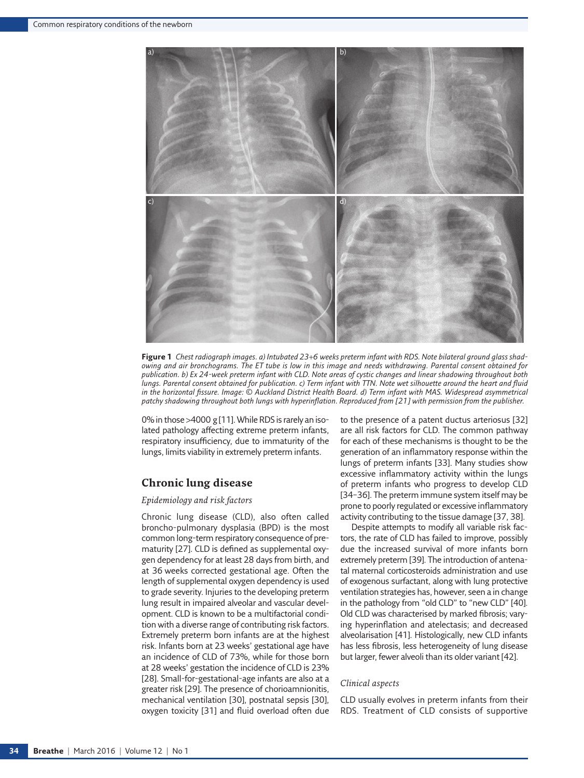

<span id="page-4-0"></span>**Figure 1** *Chest radiograph images. a) Intubated 23*+*6 weeks preterm infant with RDS. Note bilateral ground glass shadowing and air bronchograms. The ET tube is low in this image and needs withdrawing. Parental consent obtained for publication. b) Ex 24-week preterm infant with CLD. Note areas of cystic changes and linear shadowing throughout both lungs. Parental consent obtained for publication. c) Term infant with TTN. Note wet silhouette around the heart and fluid in the horizontal fissure. Image: © Auckland District Health Board. d) Term infant with MAS. Widespread asymmetrical patchy shadowing throughout both lungs with hyperinflation. Reproduced from [\[21\]](#page-11-40) with permission from the publisher.*

0% in those >4000 g [\[11\]](#page-11-10). While RDS is rarely an isolated pathology affecting extreme preterm infants, respiratory insufficiency, due to immaturity of the lungs, limits viability in extremely preterm infants.

# **Chronic lung disease**

#### *Epidemiology and risk factors*

Chronic lung disease (CLD), also often called broncho-pulmonary dysplasia (BPD) is the most common long-term respiratory consequence of prematurity [\[27\]](#page-11-25). CLD is defined as supplemental oxygen dependency for at least 28 days from birth, and at 36 weeks corrected gestational age. Often the length of supplemental oxygen dependency is used to grade severity. Injuries to the developing preterm lung result in impaired alveolar and vascular development. CLD is known to be a multifactorial condition with a diverse range of contributing risk factors. Extremely preterm born infants are at the highest risk. Infants born at 23 weeks' gestational age have an incidence of CLD of 73%, while for those born at 28 weeks' gestation the incidence of CLD is 23% [\[28](#page-11-26)]. Small-for-gestational-age infants are also at a greater risk [\[29](#page-11-27)]. The presence of chorioamnionitis, mechanical ventilation [\[30\]](#page-11-28), postnatal sepsis [[30](#page-11-28)], oxygen toxicity [\[31\]](#page-11-29) and fluid overload often due

to the presence of a patent ductus arteriosus [[32\]](#page-11-30) are all risk factors for CLD. The common pathway for each of these mechanisms is thought to be the generation of an inflammatory response within the lungs of preterm infants [\[33\]](#page-11-31). Many studies show excessive inflammatory activity within the lungs of preterm infants who progress to develop CLD [[34](#page-11-32)[–36\]](#page-11-33). The preterm immune system itself may be prone to poorly regulated or excessive inflammatory activity contributing to the tissue damage [\[37,](#page-11-34) [38](#page-11-35)].

Despite attempts to modify all variable risk factors, the rate of CLD has failed to improve, possibly due the increased survival of more infants born extremely preterm [\[39](#page-11-36)]. The introduction of antenatal maternal corticosteroids administration and use of exogenous surfactant, along with lung protective ventilation strategies has, however, seen a in change in the pathology from "old CLD" to "new CLD" [[40\]](#page-11-37). Old CLD was characterised by marked fibrosis; varying hyperinflation and atelectasis; and decreased alveolarisation [[41\]](#page-11-38). Histologically, new CLD infants has less fibrosis, less heterogeneity of lung disease but larger, fewer alveoli than its older variant [\[42](#page-11-39)].

#### *Clinical aspects*

CLD usually evolves in preterm infants from their RDS. Treatment of CLD consists of supportive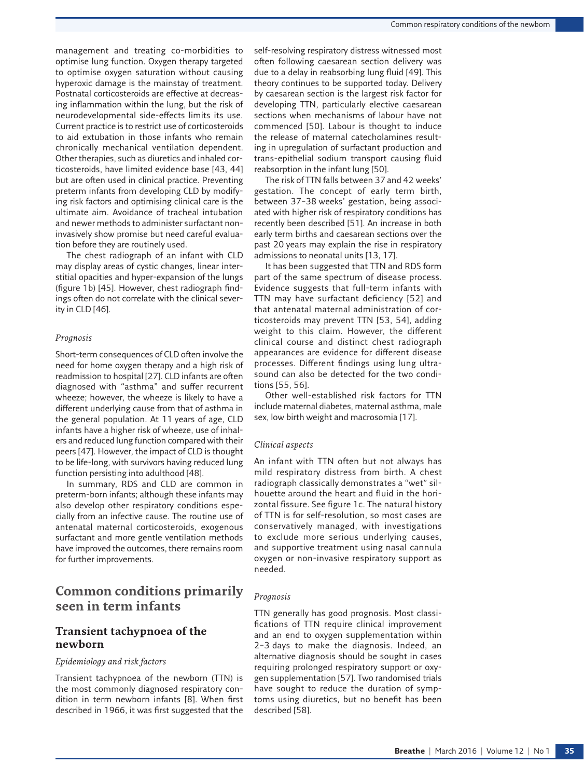management and treating co-morbidities to optimise lung function. Oxygen therapy targeted to optimise oxygen saturation without causing hyperoxic damage is the mainstay of treatment. Postnatal corticosteroids are effective at decreasing inflammation within the lung, but the risk of neurodevelopmental side-effects limits its use. Current practice is to restrict use of corticosteroids to aid extubation in those infants who remain chronically mechanical ventilation dependent. Other therapies, such as diuretics and inhaled corticosteroids, have limited evidence base [[43,](#page-11-41) [44\]](#page-11-42) but are often used in clinical practice. Preventing preterm infants from developing CLD by modifying risk factors and optimising clinical care is the ultimate aim. Avoidance of tracheal intubation and newer methods to administer surfactant noninvasively show promise but need careful evaluation before they are routinely used.

The chest radiograph of an infant with CLD may display areas of cystic changes, linear interstitial opacities and hyper-expansion of the lungs [\(figure](#page-4-0) 1b) [[45\]](#page-11-43). However, chest radiograph findings often do not correlate with the clinical severity in CLD [[46](#page-11-44)].

#### *Prognosis*

Short-term consequences of CLD often involve the need for home oxygen therapy and a high risk of readmission to hospital [[27](#page-11-25)]. CLD infants are often diagnosed with "asthma" and suffer recurrent wheeze; however, the wheeze is likely to have a different underlying cause from that of asthma in the general population. At 11 years of age, CLD infants have a higher risk of wheeze, use of inhalers and reduced lung function compared with their peers [\[47\]](#page-11-45). However, the impact of CLD is thought to be life-long, with survivors having reduced lung function persisting into adulthood [[48](#page-12-0)].

In summary, RDS and CLD are common in preterm-born infants; although these infants may also develop other respiratory conditions especially from an infective cause. The routine use of antenatal maternal corticosteroids, exogenous surfactant and more gentle ventilation methods have improved the outcomes, there remains room for further improvements.

# **Common conditions primarily seen in term infants**

# **Transient tachypnoea of the newborn**

#### *Epidemiology and risk factors*

Transient tachypnoea of the newborn (TTN) is the most commonly diagnosed respiratory condition in term newborn infants [[8](#page-11-7)]. When first described in 1966, it was first suggested that the self-resolving respiratory distress witnessed most often following caesarean section delivery was due to a delay in reabsorbing lung fluid [[49](#page-12-1)]. This theory continues to be supported today. Delivery by caesarean section is the largest risk factor for developing TTN, particularly elective caesarean sections when mechanisms of labour have not commenced [\[50](#page-12-2)]. Labour is thought to induce the release of maternal catecholamines resulting in upregulation of surfactant production and trans-epithelial sodium transport causing fluid reabsorption in the infant lung [\[50](#page-12-2)].

The risk of TTN falls between 37 and 42 weeks' gestation. The concept of early term birth, between 37–38 weeks' gestation, being associated with higher risk of respiratory conditions has recently been described [[51\]](#page-12-3). An increase in both early term births and caesarean sections over the past 20 years may explain the rise in respiratory admissions to neonatal units [\[13](#page-11-12), [17](#page-11-16)].

It has been suggested that TTN and RDS form part of the same spectrum of disease process. Evidence suggests that full-term infants with TTN may have surfactant deficiency [[52](#page-12-4)] and that antenatal maternal administration of corticosteroids may prevent TTN [[53](#page-12-5), [54\]](#page-12-6), adding weight to this claim. However, the different clinical course and distinct chest radiograph appearances are evidence for different disease processes. Different findings using lung ultrasound can also be detected for the two conditions [\[55](#page-12-7), [56\]](#page-12-8).

Other well-established risk factors for TTN include maternal diabetes, maternal asthma, male sex, low birth weight and macrosomia [\[17\]](#page-11-16).

#### *Clinical aspects*

An infant with TTN often but not always has mild respiratory distress from birth. A chest radiograph classically demonstrates a "wet" silhouette around the heart and fluid in the horizontal fissure. See [figure 1c](#page-4-0). The natural history of TTN is for self-resolution, so most cases are conservatively managed, with investigations to exclude more serious underlying causes, and supportive treatment using nasal cannula oxygen or non-invasive respiratory support as needed.

#### *Prognosis*

TTN generally has good prognosis. Most classifications of TTN require clinical improvement and an end to oxygen supplementation within 2–3 days to make the diagnosis. Indeed, an alternative diagnosis should be sought in cases requiring prolonged respiratory support or oxygen supplementation [\[57](#page-12-9)]. Two randomised trials have sought to reduce the duration of symptoms using diuretics, but no benefit has been described [\[58](#page-12-10)].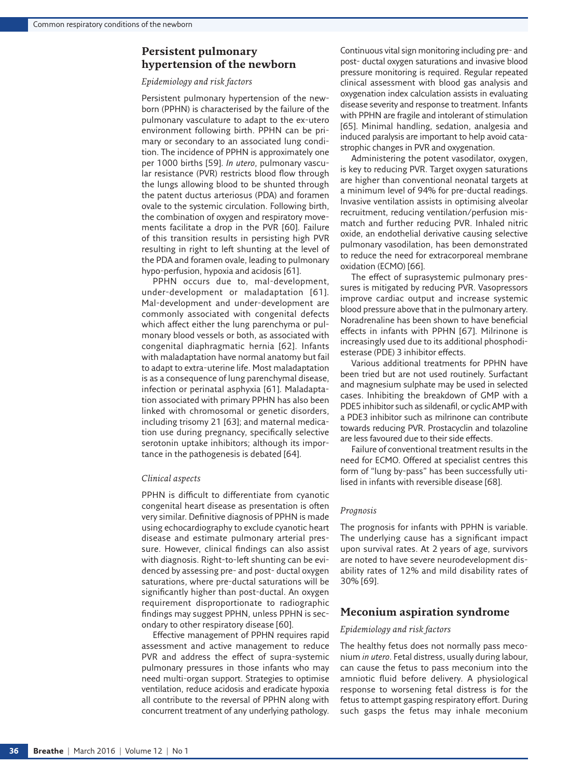# **Persistent pulmonary hypertension of the newborn**

#### *Epidemiology and risk factors*

Persistent pulmonary hypertension of the newborn (PPHN) is characterised by the failure of the pulmonary vasculature to adapt to the ex-utero environment following birth. PPHN can be primary or secondary to an associated lung condition. The incidence of PPHN is approximately one per 1000 births [\[59](#page-12-11)]. *In utero*, pulmonary vascular resistance (PVR) restricts blood flow through the lungs allowing blood to be shunted through the patent ductus arteriosus (PDA) and foramen ovale to the systemic circulation. Following birth, the combination of oxygen and respiratory movements facilitate a drop in the PVR [\[60](#page-12-12)]. Failure of this transition results in persisting high PVR resulting in right to left shunting at the level of the PDA and foramen ovale, leading to pulmonary hypo-perfusion, hypoxia and acidosis [[61\]](#page-12-13).

PPHN occurs due to, mal-development, under-development or maladaptation [[61\]](#page-12-13). Mal-development and under-development are commonly associated with congenital defects which affect either the lung parenchyma or pulmonary blood vessels or both, as associated with congenital diaphragmatic hernia [[62](#page-12-14)]. Infants with maladaptation have normal anatomy but fail to adapt to extra-uterine life. Most maladaptation is as a consequence of lung parenchymal disease, infection or perinatal asphyxia [[61\]](#page-12-13). Maladaptation associated with primary PPHN has also been linked with chromosomal or genetic disorders, including trisomy 21 [[63\]](#page-12-15); and maternal medication use during pregnancy, specifically selective serotonin uptake inhibitors; although its importance in the pathogenesis is debated [[64\]](#page-12-16).

#### *Clinical aspects*

PPHN is difficult to differentiate from cyanotic congenital heart disease as presentation is often very similar. Definitive diagnosis of PPHN is made using echocardiography to exclude cyanotic heart disease and estimate pulmonary arterial pressure. However, clinical findings can also assist with diagnosis. Right-to-left shunting can be evidenced by assessing pre- and post- ductal oxygen saturations, where pre-ductal saturations will be significantly higher than post-ductal. An oxygen requirement disproportionate to radiographic findings may suggest PPHN, unless PPHN is secondary to other respiratory disease [\[60\]](#page-12-12).

Effective management of PPHN requires rapid assessment and active management to reduce PVR and address the effect of supra-systemic pulmonary pressures in those infants who may need multi-organ support. Strategies to optimise ventilation, reduce acidosis and eradicate hypoxia all contribute to the reversal of PPHN along with concurrent treatment of any underlying pathology. Continuous vital sign monitoring including pre- and post- ductal oxygen saturations and invasive blood pressure monitoring is required. Regular repeated clinical assessment with blood gas analysis and oxygenation index calculation assists in evaluating disease severity and response to treatment. Infants with PPHN are fragile and intolerant of stimulation [[65\]](#page-12-17). Minimal handling, sedation, analgesia and induced paralysis are important to help avoid catastrophic changes in PVR and oxygenation.

Administering the potent vasodilator, oxygen, is key to reducing PVR. Target oxygen saturations are higher than conventional neonatal targets at a minimum level of 94% for pre-ductal readings. Invasive ventilation assists in optimising alveolar recruitment, reducing ventilation/perfusion mismatch and further reducing PVR. Inhaled nitric oxide, an endothelial derivative causing selective pulmonary vasodilation, has been demonstrated to reduce the need for extracorporeal membrane oxidation (ECMO) [\[66](#page-12-18)].

The effect of suprasystemic pulmonary pressures is mitigated by reducing PVR. Vasopressors improve cardiac output and increase systemic blood pressure above that in the pulmonary artery. Noradrenaline has been shown to have beneficial effects in infants with PPHN [\[67](#page-12-19)]. Milrinone is increasingly used due to its additional phosphodiesterase (PDE) 3 inhibitor effects.

Various additional treatments for PPHN have been tried but are not used routinely. Surfactant and magnesium sulphate may be used in selected cases. Inhibiting the breakdown of GMP with a PDE5 inhibitor such as sildenafil, or cyclic AMP with a PDE3 inhibitor such as milrinone can contribute towards reducing PVR. Prostacyclin and tolazoline are less favoured due to their side effects.

Failure of conventional treatment results in the need for ECMO. Offered at specialist centres this form of "lung by-pass" has been successfully utilised in infants with reversible disease [\[68\]](#page-12-20).

#### *Prognosis*

The prognosis for infants with PPHN is variable. The underlying cause has a significant impact upon survival rates. At 2 years of age, survivors are noted to have severe neurodevelopment disability rates of 12% and mild disability rates of 30% [[69\]](#page-12-21).

## **Meconium aspiration syndrome**

#### *Epidemiology and risk factors*

The healthy fetus does not normally pass meconium *in utero*. Fetal distress, usually during labour, can cause the fetus to pass meconium into the amniotic fluid before delivery. A physiological response to worsening fetal distress is for the fetus to attempt gasping respiratory effort. During such gasps the fetus may inhale meconium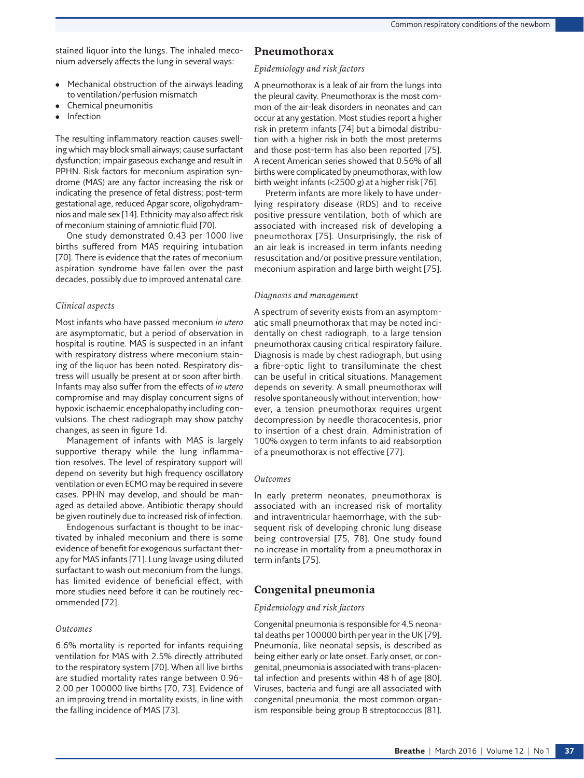stained liquor into the lungs. The inhaled meconium adversely affects the lung in several ways:

- Mechanical obstruction of the airways leading to ventilation/perfusion mismatch
- Chemical pneumonitis
- **Infection**

The resulting inflammatory reaction causes swelling which may block small airways; cause surfactant dysfunction; impair gaseous exchange and result in PPHN. Risk factors for meconium aspiration syndrome (MAS) are any factor increasing the risk or indicating the presence of fetal distress; post-term gestational age, reduced Apgar score, oligohydramnios and male sex [[14\]](#page-11-13). Ethnicity may also affect risk of meconium staining of amniotic fluid [\[70](#page-12-22)].

One study demonstrated 0.43 per 1000 live births suffered from MAS requiring intubation [\[70\]](#page-12-22). There is evidence that the rates of meconium aspiration syndrome have fallen over the past decades, possibly due to improved antenatal care.

#### *Clinical aspects*

Most infants who have passed meconium *in utero* are asymptomatic, but a period of observation in hospital is routine. MAS is suspected in an infant with respiratory distress where meconium staining of the liquor has been noted. Respiratory distress will usually be present at or soon after birth. Infants may also suffer from the effects of *in utero* compromise and may display concurrent signs of hypoxic ischaemic encephalopathy including convulsions. The chest radiograph may show patchy changes, as seen in [figure 1d](#page-4-0).

Management of infants with MAS is largely supportive therapy while the lung inflammation resolves. The level of respiratory support will depend on severity but high frequency oscillatory ventilation or even ECMO may be required in severe cases. PPHN may develop, and should be managed as detailed above. Antibiotic therapy should be given routinely due to increased risk of infection.

Endogenous surfactant is thought to be inactivated by inhaled meconium and there is some evidence of benefit for exogenous surfactant therapy for MAS infants [\[71\]](#page-12-23). Lung lavage using diluted surfactant to wash out meconium from the lungs, has limited evidence of beneficial effect, with more studies need before it can be routinely recommended [\[72\]](#page-12-24).

#### *Outcomes*

6.6% mortality is reported for infants requiring ventilation for MAS with 2.5% directly attributed to the respiratory system [\[70\]](#page-12-22). When all live births are studied mortality rates range between 0.96– 2.00 per 100000 live births [\[70,](#page-12-22) [73](#page-12-25)]. Evidence of an improving trend in mortality exists, in line with the falling incidence of MAS [\[73\]](#page-12-25).

# **Pneumothorax**

#### *Epidemiology and risk factors*

A pneumothorax is a leak of air from the lungs into the pleural cavity. Pneumothorax is the most common of the air-leak disorders in neonates and can occur at any gestation. Most studies report a higher risk in preterm infants [\[74\]](#page-12-26) but a bimodal distribution with a higher risk in both the most preterms and those post-term has also been reported [\[75\]](#page-12-27). A recent American series showed that 0.56% of all births were complicated by pneumothorax, with low birth weight infants (<2500 g) at a higher risk [[76](#page-12-28)].

Preterm infants are more likely to have underlying respiratory disease (RDS) and to receive positive pressure ventilation, both of which are associated with increased risk of developing a pneumothorax [[75\]](#page-12-27). Unsurprisingly, the risk of an air leak is increased in term infants needing resuscitation and/or positive pressure ventilation, meconium aspiration and large birth weight [[75\]](#page-12-27).

#### *Diagnosis and management*

A spectrum of severity exists from an asymptomatic small pneumothorax that may be noted incidentally on chest radiograph, to a large tension pneumothorax causing critical respiratory failure. Diagnosis is made by chest radiograph, but using a fibre-optic light to transiluminate the chest can be useful in critical situations. Management depends on severity. A small pneumothorax will resolve spontaneously without intervention; however, a tension pneumothorax requires urgent decompression by needle thoracocentesis, prior to insertion of a chest drain. Administration of 100% oxygen to term infants to aid reabsorption of a pneumothorax is not effective [\[77](#page-12-29)].

#### *Outcomes*

In early preterm neonates, pneumothorax is associated with an increased risk of mortality and intraventricular haemorrhage, with the subsequent risk of developing chronic lung disease being controversial [[75,](#page-12-27) [78](#page-12-30)]. One study found no increase in mortality from a pneumothorax in term infants [[75](#page-12-27)].

# **Congenital pneumonia**

#### *Epidemiology and risk factors*

Congenital pneumonia is responsible for 4.5 neonatal deaths per 100000 birth per year in the UK [\[79\]](#page-12-31). Pneumonia, like neonatal sepsis, is described as being either early or late onset. Early onset, or congenital, pneumonia is associated with trans-placental infection and presents within 48 h of age [\[80\]](#page-12-32). Viruses, bacteria and fungi are all associated with congenital pneumonia, the most common organism responsible being group B streptococcus [\[81\]](#page-12-33).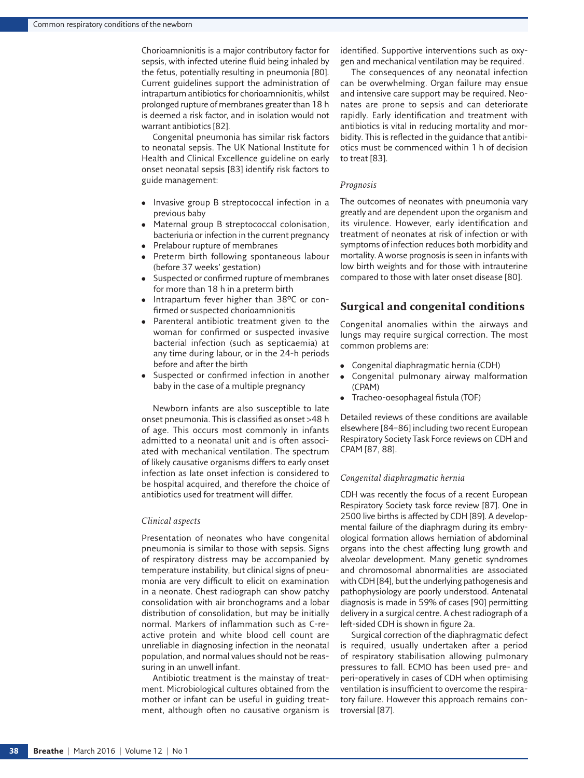Chorioamnionitis is a major contributory factor for sepsis, with infected uterine fluid being inhaled by the fetus, potentially resulting in pneumonia [[80](#page-12-32)]. Current guidelines support the administration of intrapartum antibiotics for chorioamnionitis, whilst prolonged rupture of membranes greater than 18 h is deemed a risk factor, and in isolation would not warrant antibiotics [[82](#page-12-34)].

Congenital pneumonia has similar risk factors to neonatal sepsis. The UK National Institute for Health and Clinical Excellence guideline on early onset neonatal sepsis [[83](#page-12-35)] identify risk factors to guide management:

- Invasive group B streptococcal infection in a previous baby
- Maternal group B streptococcal colonisation, bacteriuria or infection in the current pregnancy
- Prelabour rupture of membranes
- Preterm birth following spontaneous labour (before 37 weeks' gestation)
- Suspected or confirmed rupture of membranes for more than 18 h in a preterm birth
- Intrapartum fever higher than 38°C or confirmed or suspected chorioamnionitis
- Parenteral antibiotic treatment given to the woman for confirmed or suspected invasive bacterial infection (such as septicaemia) at any time during labour, or in the 24-h periods before and after the birth
- Suspected or confirmed infection in another baby in the case of a multiple pregnancy

Newborn infants are also susceptible to late onset pneumonia. This is classified as onset >48 h of age. This occurs most commonly in infants admitted to a neonatal unit and is often associated with mechanical ventilation. The spectrum of likely causative organisms differs to early onset infection as late onset infection is considered to be hospital acquired, and therefore the choice of antibiotics used for treatment will differ.

#### *Clinical aspects*

Presentation of neonates who have congenital pneumonia is similar to those with sepsis. Signs of respiratory distress may be accompanied by temperature instability, but clinical signs of pneumonia are very difficult to elicit on examination in a neonate. Chest radiograph can show patchy consolidation with air bronchograms and a lobar distribution of consolidation, but may be initially normal. Markers of inflammation such as C-reactive protein and white blood cell count are unreliable in diagnosing infection in the neonatal population, and normal values should not be reassuring in an unwell infant.

Antibiotic treatment is the mainstay of treatment. Microbiological cultures obtained from the mother or infant can be useful in guiding treatment, although often no causative organism is identified. Supportive interventions such as oxygen and mechanical ventilation may be required.

The consequences of any neonatal infection can be overwhelming. Organ failure may ensue and intensive care support may be required. Neonates are prone to sepsis and can deteriorate rapidly. Early identification and treatment with antibiotics is vital in reducing mortality and morbidity. This is reflected in the guidance that antibiotics must be commenced within 1 h of decision to treat [\[83\]](#page-12-35).

#### *Prognosis*

The outcomes of neonates with pneumonia vary greatly and are dependent upon the organism and its virulence. However, early identification and treatment of neonates at risk of infection or with symptoms of infection reduces both morbidity and mortality. A worse prognosis is seen in infants with low birth weights and for those with intrauterine compared to those with later onset disease [\[80](#page-12-32)].

# **Surgical and congenital conditions**

Congenital anomalies within the airways and lungs may require surgical correction. The most common problems are:

- Congenital diaphragmatic hernia (CDH)
- Congenital pulmonary airway malformation (CPAM)
- Tracheo-oesophageal fistula (TOF)

Detailed reviews of these conditions are available elsewhere [[84–](#page-12-36)[86\]](#page-12-37) including two recent European Respiratory Society Task Force reviews on CDH and CPAM [[87](#page-12-38), [88](#page-12-39)].

#### *Congenital diaphragmatic hernia*

CDH was recently the focus of a recent European Respiratory Society task force review [\[87\]](#page-12-38). One in 2500 live births is affected by CDH [\[89\]](#page-12-40). A developmental failure of the diaphragm during its embryological formation allows herniation of abdominal organs into the chest affecting lung growth and alveolar development. Many genetic syndromes and chromosomal abnormalities are associated with CDH [[84](#page-12-36)], but the underlying pathogenesis and pathophysiology are poorly understood. Antenatal diagnosis is made in 59% of cases [\[90\]](#page-12-41) permitting delivery in a surgical centre. A chest radiograph of a left-sided CDH is shown in [figure 2a](#page-9-0).

Surgical correction of the diaphragmatic defect is required, usually undertaken after a period of respiratory stabilisation allowing pulmonary pressures to fall. ECMO has been used pre- and peri-operatively in cases of CDH when optimising ventilation is insufficient to overcome the respiratory failure. However this approach remains controversial [\[87](#page-12-38)].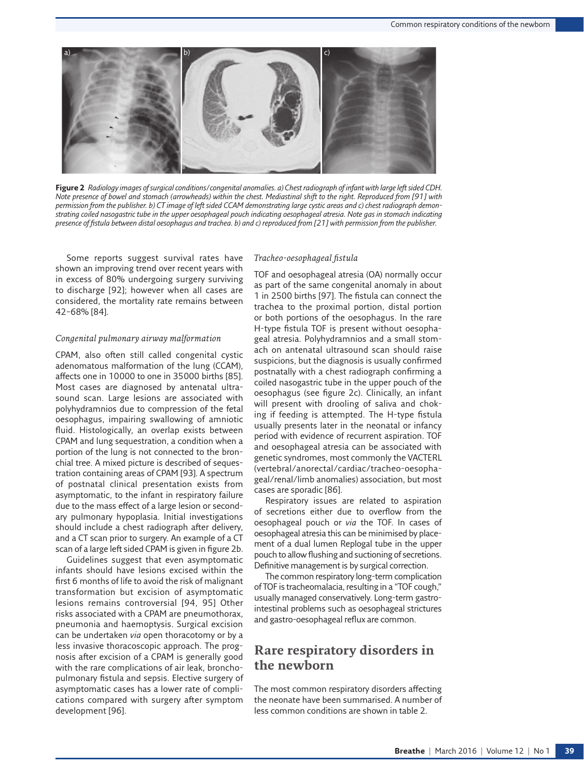

<span id="page-9-0"></span>**Figure 2** *Radiology images of surgical conditions/congenital anomalies. a) Chest radiograph of infant with large left sided CDH. Note presence of bowel and stomach (arrowheads) within the chest. Mediastinal shift to the right. Reproduced from [\[91](#page-12-49)] with permission from the publisher. b) CT image of left sided CCAM demonstrating large cystic areas and c) chest radiograph demonstrating coiled nasogastric tube in the upper oesophageal pouch indicating oesophageal atresia. Note gas in stomach indicating presence of fistula between distal oesophagus and trachea. b) and c) reproduced from [\[21](#page-11-40)] with permission from the publisher.*

Some reports suggest survival rates have shown an improving trend over recent years with in excess of 80% undergoing surgery surviving to discharge [[92\]](#page-12-42); however when all cases are considered, the mortality rate remains between 42–68% [\[84](#page-12-36)].

#### *Congenital pulmonary airway malformation*

CPAM, also often still called congenital cystic adenomatous malformation of the lung (CCAM), affects one in 10000 to one in 35000 births [[85](#page-12-43)]. Most cases are diagnosed by antenatal ultrasound scan. Large lesions are associated with polyhydramnios due to compression of the fetal oesophagus, impairing swallowing of amniotic fluid. Histologically, an overlap exists between CPAM and lung sequestration, a condition when a portion of the lung is not connected to the bronchial tree. A mixed picture is described of sequestration containing areas of CPAM [[93](#page-12-44)]. A spectrum of postnatal clinical presentation exists from asymptomatic, to the infant in respiratory failure due to the mass effect of a large lesion or secondary pulmonary hypoplasia. Initial investigations should include a chest radiograph after delivery, and a CT scan prior to surgery. An example of a CT scan of a large left sided CPAM is given in [figure 2b.](#page-9-0)

Guidelines suggest that even asymptomatic infants should have lesions excised within the first 6 months of life to avoid the risk of malignant transformation but excision of asymptomatic lesions remains controversial [[94](#page-12-45), [95\]](#page-12-46) Other risks associated with a CPAM are pneumothorax, pneumonia and haemoptysis. Surgical excision can be undertaken *via* open thoracotomy or by a less invasive thoracoscopic approach. The prognosis after excision of a CPAM is generally good with the rare complications of air leak, bronchopulmonary fistula and sepsis. Elective surgery of asymptomatic cases has a lower rate of complications compared with surgery after symptom development [\[96](#page-12-47)].

#### *Tracheo-oesophageal fistula*

TOF and oesophageal atresia (OA) normally occur as part of the same congenital anomaly in about 1 in 2500 births [\[97](#page-12-48)]. The fistula can connect the trachea to the proximal portion, distal portion or both portions of the oesophagus. In the rare H-type fistula TOF is present without oesophageal atresia. Polyhydramnios and a small stomach on antenatal ultrasound scan should raise suspicions, but the diagnosis is usually confirmed postnatally with a chest radiograph confirming a coiled nasogastric tube in the upper pouch of the oesophagus (see [figure 2c](#page-9-0)). Clinically, an infant will present with drooling of saliva and choking if feeding is attempted. The H-type fistula usually presents later in the neonatal or infancy period with evidence of recurrent aspiration. TOF and oesophageal atresia can be associated with genetic syndromes, most commonly the VACTERL (vertebral/anorectal/cardiac/tracheo-oesophageal/renal/limb anomalies) association, but most cases are sporadic [[86\]](#page-12-37).

Respiratory issues are related to aspiration of secretions either due to overflow from the oesophageal pouch or *via* the TOF. In cases of oesophageal atresia this can be minimised by placement of a dual lumen Replogal tube in the upper pouch to allow flushing and suctioning of secretions. Definitive management is by surgical correction.

The common respiratory long-term complication of TOF is tracheomalacia, resulting in a "TOF cough," usually managed conservatively. Long-term gastrointestinal problems such as oesophageal strictures and gastro-oesophageal reflux are common.

# **Rare respiratory disorders in the newborn**

The most common respiratory disorders affecting the neonate have been summarised. A number of less common conditions are shown in [table 2.](#page-10-0)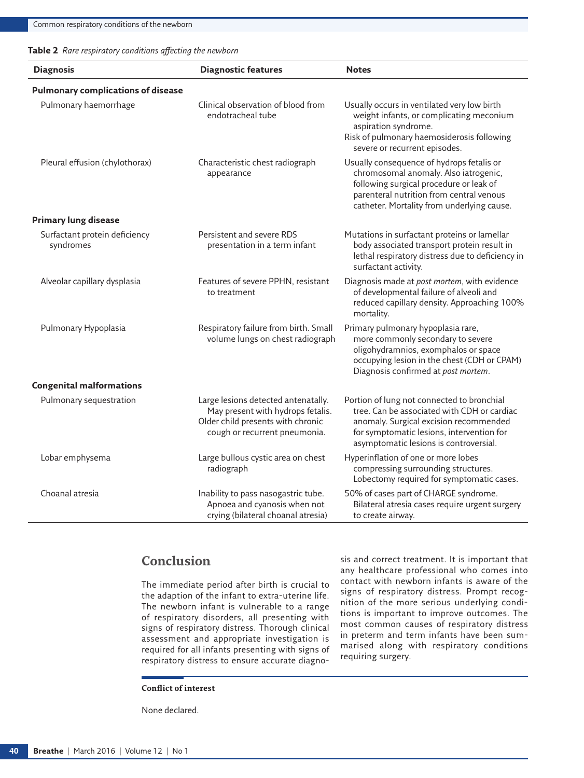<span id="page-10-0"></span>

|  | <b>Table 2</b> Rare respiratory conditions affecting the newborn |  |
|--|------------------------------------------------------------------|--|
|--|------------------------------------------------------------------|--|

| <b>Diagnosis</b>                           | <b>Diagnostic features</b>                                                                                                                     | <b>Notes</b>                                                                                                                                                                                                               |
|--------------------------------------------|------------------------------------------------------------------------------------------------------------------------------------------------|----------------------------------------------------------------------------------------------------------------------------------------------------------------------------------------------------------------------------|
| <b>Pulmonary complications of disease</b>  |                                                                                                                                                |                                                                                                                                                                                                                            |
| Pulmonary haemorrhage                      | Clinical observation of blood from<br>endotracheal tube                                                                                        | Usually occurs in ventilated very low birth<br>weight infants, or complicating meconium<br>aspiration syndrome.<br>Risk of pulmonary haemosiderosis following<br>severe or recurrent episodes.                             |
| Pleural effusion (chylothorax)             | Characteristic chest radiograph<br>appearance                                                                                                  | Usually consequence of hydrops fetalis or<br>chromosomal anomaly. Also iatrogenic,<br>following surgical procedure or leak of<br>parenteral nutrition from central venous<br>catheter. Mortality from underlying cause.    |
| <b>Primary lung disease</b>                |                                                                                                                                                |                                                                                                                                                                                                                            |
| Surfactant protein deficiency<br>syndromes | Persistent and severe RDS<br>presentation in a term infant                                                                                     | Mutations in surfactant proteins or lamellar<br>body associated transport protein result in<br>lethal respiratory distress due to deficiency in<br>surfactant activity.                                                    |
| Alveolar capillary dysplasia               | Features of severe PPHN, resistant<br>to treatment                                                                                             | Diagnosis made at post mortem, with evidence<br>of developmental failure of alveoli and<br>reduced capillary density. Approaching 100%<br>mortality.                                                                       |
| Pulmonary Hypoplasia                       | Respiratory failure from birth. Small<br>volume lungs on chest radiograph                                                                      | Primary pulmonary hypoplasia rare,<br>more commonly secondary to severe<br>oligohydramnios, exomphalos or space<br>occupying lesion in the chest (CDH or CPAM)<br>Diagnosis confirmed at post mortem.                      |
| <b>Congenital malformations</b>            |                                                                                                                                                |                                                                                                                                                                                                                            |
| Pulmonary sequestration                    | Large lesions detected antenatally.<br>May present with hydrops fetalis.<br>Older child presents with chronic<br>cough or recurrent pneumonia. | Portion of lung not connected to bronchial<br>tree. Can be associated with CDH or cardiac<br>anomaly. Surgical excision recommended<br>for symptomatic lesions, intervention for<br>asymptomatic lesions is controversial. |
| Lobar emphysema                            | Large bullous cystic area on chest<br>radiograph                                                                                               | Hyperinflation of one or more lobes<br>compressing surrounding structures.<br>Lobectomy required for symptomatic cases.                                                                                                    |
| Choanal atresia                            | Inability to pass nasogastric tube.<br>Apnoea and cyanosis when not<br>crying (bilateral choanal atresia)                                      | 50% of cases part of CHARGE syndrome.<br>Bilateral atresia cases require urgent surgery<br>to create airway.                                                                                                               |

# **Conclusion**

The immediate period after birth is crucial to the adaption of the infant to extra-uterine life. The newborn infant is vulnerable to a range of respiratory disorders, all presenting with signs of respiratory distress. Thorough clinical assessment and appropriate investigation is required for all infants presenting with signs of respiratory distress to ensure accurate diagno-

#### **Conflict of interest**

None declared.

sis and correct treatment. It is important that any healthcare professional who comes into contact with newborn infants is aware of the signs of respiratory distress. Prompt recognition of the more serious underlying conditions is important to improve outcomes. The most common causes of respiratory distress in preterm and term infants have been summarised along with respiratory conditions requiring surgery.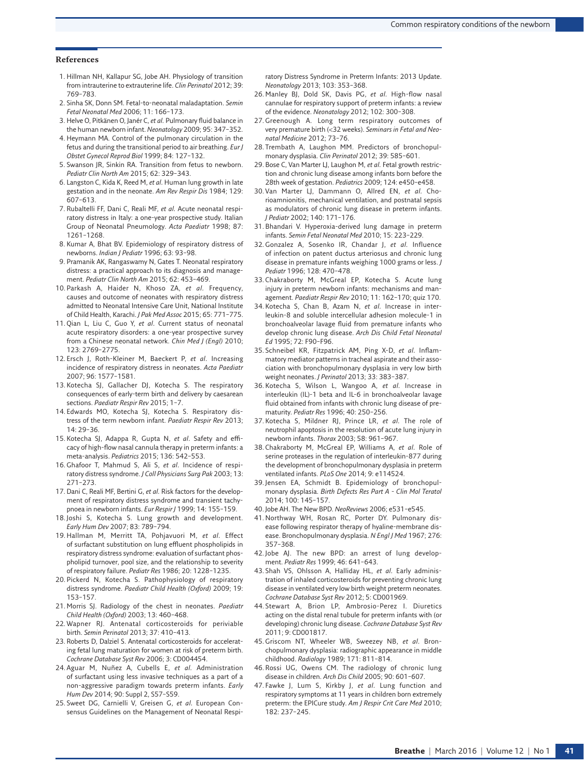#### **References**

- <span id="page-11-0"></span>1. Hillman NH, Kallapur SG, Jobe AH. Physiology of transition from intrauterine to extrauterine life. *Clin Perinatol* 2012; 39: 769–783.
- <span id="page-11-1"></span>2. Sinha SK, Donn SM. Fetal-to-neonatal maladaptation. *Semin Fetal Neonatal Med* 2006; 11: 166–173.
- <span id="page-11-2"></span>3. Helve O, Pitkänen O, Janér C, *et al.* Pulmonary fluid balance in the human newborn infant. *Neonatology* 2009; 95: 347–352.
- <span id="page-11-3"></span>4. Heymann MA. Control of the pulmonary circulation in the fetus and during the transitional period to air breathing. *Eur J Obstet Gynecol Reprod Biol* 1999; 84: 127–132.
- <span id="page-11-4"></span>5. Swanson JR, Sinkin RA. Transition from fetus to newborn. *Pediatr Clin North Am* 2015; 62: 329–343.
- <span id="page-11-5"></span>6. Langston C, Kida K, Reed M, *et al.* Human lung growth in late gestation and in the neonate. *Am Rev Respir Dis* 1984; 129: 607–613.
- <span id="page-11-6"></span>7. Rubaltelli FF, Dani C, Reali MF, *et al.* Acute neonatal respiratory distress in Italy: a one-year prospective study. Italian Group of Neonatal Pneumology. *Acta Paediatr* 1998; 87: 1261–1268.
- <span id="page-11-7"></span>8. Kumar A, Bhat BV. Epidemiology of respiratory distress of newborns. *Indian J Pediatr* 1996; 63: 93–98.
- <span id="page-11-8"></span>9. Pramanik AK, Rangaswamy N, Gates T. Neonatal respiratory distress: a practical approach to its diagnosis and management. *Pediatr Clin North Am* 2015; 62: 453–469.
- <span id="page-11-9"></span>10. Parkash A, Haider N, Khoso ZA, *et al.* Frequency, causes and outcome of neonates with respiratory distress admitted to Neonatal Intensive Care Unit, National Institute of Child Health, Karachi. *J Pak Med Assoc* 2015; 65: 771–775.
- <span id="page-11-10"></span>11. Qian L, Liu C, Guo Y, *et al.* Current status of neonatal acute respiratory disorders: a one-year prospective survey from a Chinese neonatal network. *Chin Med J (Engl)* 2010; 123: 2769–2775.
- <span id="page-11-11"></span>12. Ersch J, Roth-Kleiner M, Baeckert P, *et al.* Increasing incidence of respiratory distress in neonates. *Acta Paediatr* 2007; 96: 1577–1581.
- <span id="page-11-12"></span>13. Kotecha SJ, Gallacher DJ, Kotecha S. The respiratory consequences of early-term birth and delivery by caesarean sections. *Paediatr Respir Rev* 2015; 1–7.
- <span id="page-11-13"></span>14. Edwards MO, Kotecha SJ, Kotecha S. Respiratory distress of the term newborn infant. *Paediatr Respir Rev* 2013; 14: 29–36.
- <span id="page-11-14"></span>15. Kotecha SJ, Adappa R, Gupta N, *et al.* Safety and efficacy of high-flow nasal cannula therapy in preterm infants: a meta-analysis. *Pediatrics* 2015; 136: 542–553.
- <span id="page-11-15"></span>16. Ghafoor T, Mahmud S, Ali S, *et al.* Incidence of respiratory distress syndrome. *J Coll Physicians Surg Pak* 2003; 13: 271–273.
- <span id="page-11-16"></span>17. Dani C, Reali MF, Bertini G, *et al.* Risk factors for the development of respiratory distress syndrome and transient tachypnoea in newborn infants. *Eur Respir J* 1999; 14: 155–159.
- <span id="page-11-17"></span>18. Joshi S, Kotecha S. Lung growth and development. *Early Hum Dev* 2007; 83: 789–794.
- <span id="page-11-18"></span>19. Hallman M, Merritt TA, Pohjavuori M, *et al.* Effect of surfactant substitution on lung effluent phospholipids in respiratory distress syndrome: evaluation of surfactant phospholipid turnover, pool size, and the relationship to severity of respiratory failure. *Pediatr Res* 1986; 20: 1228–1235.
- <span id="page-11-19"></span>20. Pickerd N, Kotecha S. Pathophysiology of respiratory distress syndrome. *Paediatr Child Health (Oxford)* 2009; 19: 153–157.
- <span id="page-11-40"></span>21. Morris SJ. Radiology of the chest in neonates. *Paediatr Child Health (Oxford)* 2003; 13: 460–468.
- <span id="page-11-20"></span>22. Wapner RJ. Antenatal corticosteroids for periviable birth. *Semin Perinatol* 2013; 37: 410–413.
- <span id="page-11-21"></span>23. Roberts D, Dalziel S. Antenatal corticosteroids for accelerating fetal lung maturation for women at risk of preterm birth. *Cochrane Database Syst Rev* 2006; 3: CD004454.
- <span id="page-11-22"></span>24. Aguar M, Nuñez A, Cubells E, *et al.* Administration of surfactant using less invasive techniques as a part of a non-aggressive paradigm towards preterm infants. *Early Hum Dev* 2014; 90: Suppl 2, S57–S59.
- <span id="page-11-23"></span>25. Sweet DG, Carnielli V, Greisen G, *et al.* European Consensus Guidelines on the Management of Neonatal Respi-

ratory Distress Syndrome in Preterm Infants: 2013 Update. *Neonatology* 2013; 103: 353–368.

- <span id="page-11-24"></span>26. Manley BJ, Dold SK, Davis PG, *et al.* High-flow nasal cannulae for respiratory support of preterm infants: a review of the evidence. *Neonatology* 2012; 102: 300–308.
- <span id="page-11-25"></span>27. Greenough A. Long term respiratory outcomes of very premature birth (<32 weeks). *Seminars in Fetal and Neonatal Medicine* 2012; 73–76.
- <span id="page-11-26"></span>28. Trembath A, Laughon MM. Predictors of bronchopulmonary dysplasia. *Clin Perinatol* 2012; 39: 585–601.
- <span id="page-11-27"></span>29. Bose C, Van Marter LJ, Laughon M, *et al.* Fetal growth restriction and chronic lung disease among infants born before the 28th week of gestation. *Pediatrics* 2009; 124: e450–e458.
- <span id="page-11-28"></span>30. Van Marter LJ, Dammann O, Allred EN, *et al.* Chorioamnionitis, mechanical ventilation, and postnatal sepsis as modulators of chronic lung disease in preterm infants. *J Pediatr* 2002; 140: 171–176.
- <span id="page-11-29"></span>31. Bhandari V. Hyperoxia-derived lung damage in preterm infants. *Semin Fetal Neonatal Med* 2010; 15: 223–229.
- <span id="page-11-30"></span>32. Gonzalez A, Sosenko IR, Chandar J, *et al.* Influence of infection on patent ductus arteriosus and chronic lung disease in premature infants weighing 1000 grams or less. *J Pediatr* 1996; 128: 470–478.
- <span id="page-11-31"></span>33. Chakraborty M, McGreal EP, Kotecha S. Acute lung injury in preterm newborn infants: mechanisms and management. *Paediatr Respir Rev* 2010; 11: 162–170; quiz 170.
- <span id="page-11-32"></span>34. Kotecha S, Chan B, Azam N, *et al.* Increase in interleukin-8 and soluble intercellular adhesion molecule-1 in bronchoalveolar lavage fluid from premature infants who develop chronic lung disease. *Arch Dis Child Fetal Neonatal Ed* 1995; 72: F90–F96.
- 35. Schneibel KR, Fitzpatrick AM, Ping X-D, *et al.* Inflammatory mediator patterns in tracheal aspirate and their association with bronchopulmonary dysplasia in very low birth weight neonates. *J Perinatol* 2013; 33: 383–387.
- <span id="page-11-33"></span>36. Kotecha S, Wilson L, Wangoo A, *et al.* Increase in interleukin (IL)-1 beta and IL-6 in bronchoalveolar lavage fluid obtained from infants with chronic lung disease of prematurity. *Pediatr Res* 1996; 40: 250–256.
- <span id="page-11-34"></span>37. Kotecha S, Mildner RJ, Prince LR, *et al.* The role of neutrophil apoptosis in the resolution of acute lung injury in newborn infants. *Thorax* 2003; 58: 961–967.
- <span id="page-11-35"></span>38. Chakraborty M, McGreal EP, Williams A, *et al.* Role of serine proteases in the regulation of interleukin-877 during the development of bronchopulmonary dysplasia in preterm ventilated infants. *PLoS One* 2014; 9: e114524.
- <span id="page-11-36"></span>39. Jensen EA, Schmidt B. Epidemiology of bronchopulmonary dysplasia. *Birth Defects Res Part A - Clin Mol Teratol* 2014; 100: 145–157.
- <span id="page-11-37"></span>40. Jobe AH. The New BPD. *NeoReviews* 2006; e531–e545.
- <span id="page-11-38"></span>41. Northway WH, Rosan RC, Porter DY. Pulmonary disease following respirator therapy of hyaline-membrane disease. Bronchopulmonary dysplasia. *N Engl J Med* 1967; 276: 357–368.
- <span id="page-11-39"></span>42. Jobe AJ. The new BPD: an arrest of lung development. *Pediatr Res* 1999; 46: 641–643.
- <span id="page-11-41"></span>43. Shah VS, Ohlsson A, Halliday HL, *et al.* Early administration of inhaled corticosteroids for preventing chronic lung disease in ventilated very low birth weight preterm neonates. *Cochrane Database Syst Rev* 2012; 5: CD001969.
- <span id="page-11-42"></span>44. Stewart A, Brion LP, Ambrosio-Perez I. Diuretics acting on the distal renal tubule for preterm infants with (or developing) chronic lung disease. *Cochrane Database Syst Rev* 2011; 9: CD001817.
- <span id="page-11-43"></span>45. Griscom NT, Wheeler WB, Sweezey NB, *et al.* Bronchopulmonary dysplasia: radiographic appearance in middle childhood. *Radiology* 1989; 171: 811–814.
- <span id="page-11-44"></span>46. Rossi UG, Owens CM. The radiology of chronic lung disease in children. *Arch Dis Child* 2005; 90: 601–607.
- <span id="page-11-45"></span>47. Fawke J, Lum S, Kirkby J, *et al.* Lung function and respiratory symptoms at 11 years in children born extremely preterm: the EPICure study. *Am J Respir Crit Care Med* 2010; 182: 237–245.